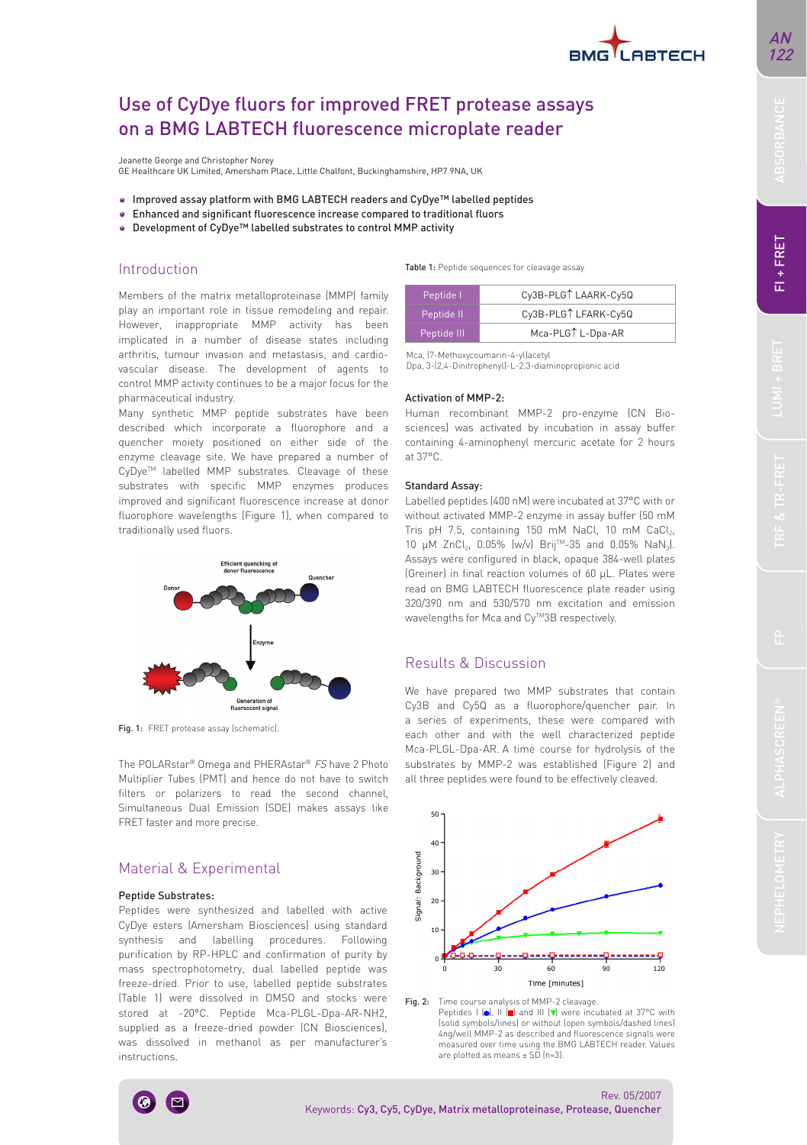# Use of CyDye fluors for improved FRET protease assays on a BMG LABTECH fluorescence microplate reader

Jeanette George and Christopher Norey GE Healthcare UK Limited, Amersham Place, Little Chalfont, Buckinghamshire, HP7 9NA, UK

- Improved assay platform with BMG LABTECH readers and CyDye™ labelled peptides
- Enhanced and significant fluorescence increase compared to traditional fluors
- Development of CyDye™ labelled substrates to control MMP activity

## Introduction

Members of the matrix metalloproteinase (MMP) family play an important role in tissue remodeling and repair. However, inappropriate MMP activity has been implicated in a number of disease states including arthritis, tumour invasion and metastasis, and cardiovascular disease. The development of agents to control MMP activity continues to be a major focus for the pharmaceutical industry.

Many synthetic MMP peptide substrates have been described which incorporate a fluorophore and a quencher moiety positioned on either side of the enzyme cleavage site. We have prepared a number of CyDyeTM labelled MMP substrates. Cleavage of these substrates with specific MMP enzymes produces improved and significant fluorescence increase at donor fluorophore wavelengths (Figure 1), when compared to traditionally used fluors.



Fig. 1: FRET protease assay (schematic).

The POLARstar® Omega and PHERAstar® FS have 2 Photo Multiplier Tubes (PMT) and hence do not have to switch filters or polarizers to read the second channel, Simultaneous Dual Emission (SDE) makes assays like FRET faster and more precise.

## Material & Experimental

### Peptide Substrates:

Peptides were synthesized and labelled with active CyDye esters (Amersham Biosciences) using standard synthesis and labelling procedures. Following purification by RP-HPLC and confirmation of purity by mass spectrophotometry, dual labelled peptide was freeze-dried. Prior to use, labelled peptide substrates (Table 1) were dissolved in DMSO and stocks were stored at -20°C. Peptide Mca-PLGL-Dpa-AR-NH2, supplied as a freeze-dried powder (CN Biosciences), was dissolved in methanol as per manufacturer's instructions.

Table 1: Peptide sequences for cleavage assay

| Peptide I   | Cy3B-PLGT LAARK-Cy5Q |  |
|-------------|----------------------|--|
| Peptide II  | Cy3B-PLGT LFARK-Cy5Q |  |
| Peptide III | Mca-PLG↑ L-Dpa-AR    |  |

Mca, (7-Methoxycoumarin-4-yl)acetyl

Dpa, 3-(2,4-Dinitrophenyl)-L-2,3-diaminopropionic acid

### Activation of MMP-2:

Human recombinant MMP-2 pro-enzyme (CN Biosciences) was activated by incubation in assay buffer containing 4-aminophenyl mercuric acetate for 2 hours at 37°C.

#### Standard Assay:

Labelled peptides (400 nM) were incubated at 37°C with or without activated MMP-2 enzyme in assay buffer (50 mM Tris pH 7.5, containing 150 mM NaCl, 10 mM CaCl<sub>2</sub>, 10 μM ZnCl<sub>2</sub>, 0.05% (w/v) Brij<sup>™</sup>-35 and 0.05% NaN<sub>3</sub>). Assays were configured in black, opaque 384-well plates (Greiner) in final reaction volumes of 60 μL. Plates were read on BMG LABTECH fluorescence plate reader using 320/390 nm and 530/570 nm excitation and emission wavelengths for Mca and Cy™3B respectively.

## Results & Discussion

We have prepared two MMP substrates that contain Cy3B and Cy5Q as a fluorophore/quencher pair. In a series of experiments, these were compared with each other and with the well characterized peptide Mca-PLGL-Dpa-AR. A time course for hydrolysis of the substrates by MMP-2 was established (Figure 2) and all three peptides were found to be effectively cleaved.





 $-1 + FRET$